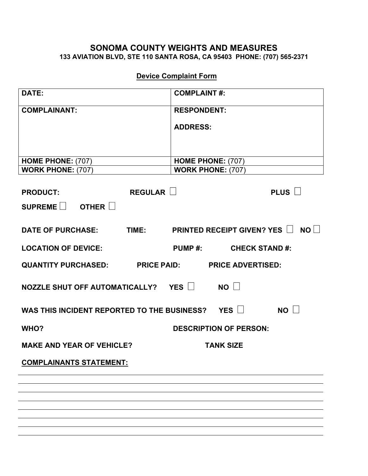## **133 AVIATION BLVD, STE 110 SANTA ROSA, CA 95403 PHONE: (707) 565-2371 SONOMA COUNTY WEIGHTS AND MEASURES**

## **Device Complaint Form**

| DATE:                                                        | <b>COMPLAINT#:</b>                            |
|--------------------------------------------------------------|-----------------------------------------------|
| <b>COMPLAINANT:</b>                                          | <b>RESPONDENT:</b>                            |
|                                                              | <b>ADDRESS:</b>                               |
|                                                              |                                               |
|                                                              |                                               |
| HOME PHONE: (707)<br><b>WORK PHONE: (707)</b>                | HOME PHONE: (707)<br><b>WORK PHONE: (707)</b> |
|                                                              |                                               |
| REGULAR U<br><b>PRODUCT:</b>                                 | PLUS $\Box$                                   |
| SUPREME $\Box$ OTHER $\Box$                                  |                                               |
|                                                              |                                               |
| <b>DATE OF PURCHASE:</b>                                     | TIME: PRINTED RECEIPT GIVEN? YES IN NOIN      |
| <b>LOCATION OF DEVICE:</b>                                   | PUMP #: CHECK STAND #:                        |
| QUANTITY PURCHASED: PRICE PAID: PRICE ADVERTISED:            |                                               |
| NOZZLE SHUT OFF AUTOMATICALLY? YES                           | NO                                            |
| NO<br>WAS THIS INCIDENT REPORTED TO THE BUSINESS? YES $\Box$ |                                               |
|                                                              |                                               |
| WHO?                                                         | <b>DESCRIPTION OF PERSON:</b>                 |
| <b>MAKE AND YEAR OF VEHICLE?</b>                             | <b>TANK SIZE</b>                              |
| <b>COMPLAINANTS STATEMENT:</b>                               |                                               |
|                                                              |                                               |
|                                                              |                                               |
|                                                              |                                               |
|                                                              |                                               |